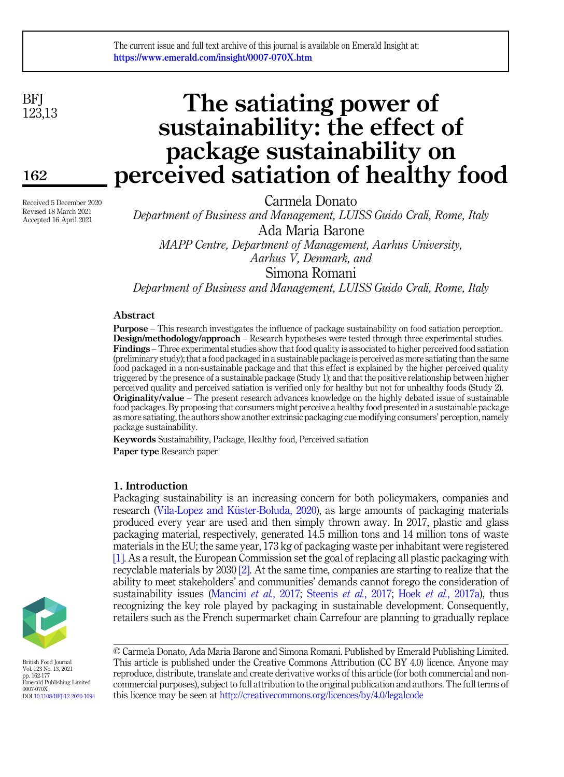**BFI** 123,13

162

Received 5 December 2020 Revised 18 March 2021 Accepted 16 April 2021

# The satiating power of sustainability: the effect of package sustainability on perceived satiation of healthy food

Carmela Donato

Department of Business and Management, LUISS Guido Crali, Rome, Italy Ada Maria Barone MAPP Centre, Department of Management, Aarhus University,

Aarhus V, Denmark, and

Simona Romani

Department of Business and Management, LUISS Guido Crali, Rome, Italy

## Abstract

Purpose – This research investigates the influence of package sustainability on food satiation perception. Design/methodology/approach – Research hypotheses were tested through three experimental studies. Findings – Three experimental studies show that food quality is associated to higher perceived food satiation (preliminary study); that a food packaged in a sustainable package is perceived as more satiating than the same food packaged in a non-sustainable package and that this effect is explained by the higher perceived quality triggered by the presence of a sustainable package (Study 1); and that the positive relationship between higher perceived quality and perceived satiation is verified only for healthy but not for unhealthy foods (Study 2). Originality/value – The present research advances knowledge on the highly debated issue of sustainable food packages. By proposing that consumers might perceive a healthy food presented in a sustainable package as more satiating, the authors show another extrinsic packaging cue modifying consumers' perception, namely package sustainability.

Keywords Sustainability, Package, Healthy food, Perceived satiation Paper type Research paper

# 1. Introduction

Packaging sustainability is an increasing concern for both policymakers, companies and research (Vila-Lopez and Küster-Boluda, 2020), as large amounts of packaging materials produced every year are used and then simply thrown away. In 2017, plastic and glass packaging material, respectively, generated 14.5 million tons and 14 million tons of waste materials in the EU; the same year, 173 kg of packaging waste per inhabitant were registered [\[1\]](#page-10-0). As a result, the European Commission set the goal of replacing all plastic packaging with recyclable materials by 2030 [\[2\]](#page-10-1). At the same time, companies are starting to realize that the ability to meet stakeholders' and communities' demands cannot forego the consideration of sustainability issues ([Mancini](#page-12-0) et al., 2017; [Steenis](#page-13-1) et al., 2017; Hoek et al.[, 2017a\)](#page-11-0), thus recognizing the key role played by packaging in sustainable development. Consequently, retailers such as the French supermarket chain Carrefour are planning to gradually replace



British Food Journal Vol. 123 No. 13, 2021 pp. 162-177 Emerald Publishing Limited 0007-070X DOI [10.1108/BFJ-12-2020-1094](https://doi.org/10.1108/BFJ-12-2020-1094) © Carmela Donato, Ada Maria Barone and Simona Romani. Published by Emerald Publishing Limited. This article is published under the Creative Commons Attribution (CC BY 4.0) licence. Anyone may reproduce, distribute, translate and create derivative works of this article (for both commercial and noncommercial purposes), subject to full attribution to the original publication and authors. The full terms of this licence may be seen at <http://creativecommons.org/licences/by/4.0/legalcode>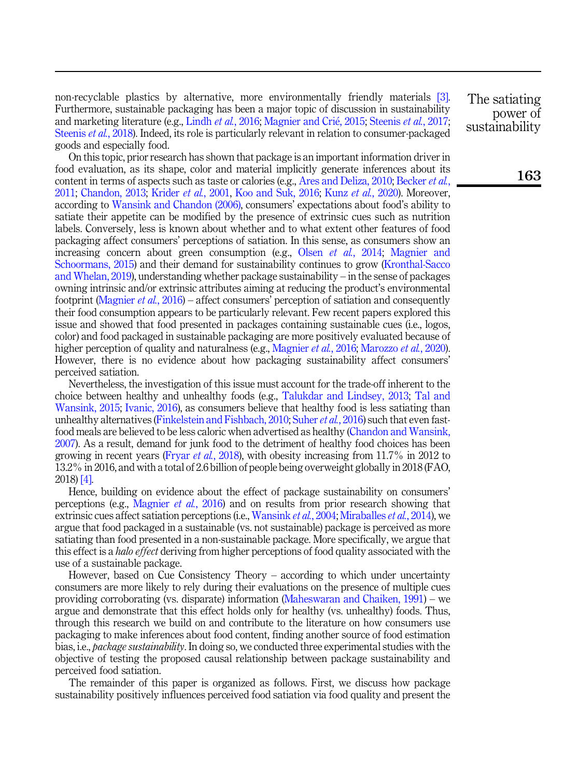non-recyclable plastics by alternative, more environmentally friendly materials [\[3\]](#page-10-2). Furthermore, sustainable packaging has been a major topic of discussion in sustainability and marketing literature (e.g., [Lindh](#page-11-1) *et al.*, 2016; [Magnier and Cri](#page-11-2)é, 2015; [Steenis](#page-13-1) *et al.*, 2017; [Steenis](#page-12-1) *et al.*, 2018). Indeed, its role is particularly relevant in relation to consumer-packaged goods and especially food.

On this topic, prior research has shown that package is an important information driver in food evaluation, as its shape, color and material implicitly generate inferences about its content in terms of aspects such as taste or calories (e.g., [Ares and Deliza, 2010](#page-10-3); [Becker](#page-10-4) *et al.*, [2011;](#page-10-4) [Chandon, 2013;](#page-10-5) [Krider](#page-11-3) et al., 2001, [Koo and Suk, 2016](#page-11-4); Kunz et al.[, 2020](#page-11-5)). Moreover, according to [Wansink and Chandon \(2006\),](#page-13-2) consumers' expectations about food's ability to satiate their appetite can be modified by the presence of extrinsic cues such as nutrition labels. Conversely, less is known about whether and to what extent other features of food packaging affect consumers' perceptions of satiation. In this sense, as consumers show an increasing concern about green consumption (e.g., Olsen *et al.*[, 2014](#page-12-2); [Magnier and](#page-11-6) [Schoormans, 2015](#page-11-6)) and their demand for sustainability continues to grow [\(Kronthal-Sacco](#page-11-7) [and Whelan, 2019](#page-11-7)), understanding whether package sustainability – in the sense of packages owning intrinsic and/or extrinsic attributes aiming at reducing the product's environmental footprint [\(Magnier](#page-11-8) et al., 2016) – affect consumers' perception of satiation and consequently their food consumption appears to be particularly relevant. Few recent papers explored this issue and showed that food presented in packages containing sustainable cues (i.e., logos, color) and food packaged in sustainable packaging are more positively evaluated because of higher perception of quality and naturalness (e.g., [Magnier](#page-11-8) et al., 2016; [Marozzo](#page-12-3) et al., 2020). However, there is no evidence about how packaging sustainability affect consumers' perceived satiation.

Nevertheless, the investigation of this issue must account for the trade-off inherent to the choice between healthy and unhealthy foods (e.g., [Talukdar and Lindsey, 2013;](#page-13-3) [Tal and](#page-13-4) [Wansink, 2015;](#page-13-4) [Ivanic, 2016](#page-11-9)), as consumers believe that healthy food is less satiating than unhealthy alternatives ([Finkelstein and Fishbach, 2010;](#page-10-6) [Suher](#page-13-5)  $et al., 2016$ ) such that even fastfood meals are believed to be less caloric when advertised as healthy [\(Chandon and Wansink,](#page-10-7) [2007\)](#page-10-7). As a result, demand for junk food to the detriment of healthy food choices has been growing in recent years (Fryar *et al.*[, 2018](#page-11-10)), with obesity increasing from  $11.7\%$  in 2012 to 13.2% in 2016, and with a total of 2.6 billion of people being overweight globally in 2018 (FAO, 2018) [\[4\].](#page-10-8)

Hence, building on evidence about the effect of package sustainability on consumers' perceptions (e.g., [Magnier](#page-11-8) et al., 2016) and on results from prior research showing that extrinsic cues affect satiation perceptions (i.e., [Wansink](#page-13-6) *et al.*, 2004; [Miraballes](#page-12-4) *et al.*, 2014), we argue that food packaged in a sustainable (vs. not sustainable) package is perceived as more satiating than food presented in a non-sustainable package. More specifically, we argue that this effect is a *halo effect* deriving from higher perceptions of food quality associated with the use of a sustainable package.

However, based on Cue Consistency Theory – according to which under uncertainty consumers are more likely to rely during their evaluations on the presence of multiple cues providing corroborating (vs. disparate) information ([Maheswaran and Chaiken, 1991\)](#page-12-5) – we argue and demonstrate that this effect holds only for healthy (vs. unhealthy) foods. Thus, through this research we build on and contribute to the literature on how consumers use packaging to make inferences about food content, finding another source of food estimation bias, i.e., package sustainability. In doing so, we conducted three experimental studies with the objective of testing the proposed causal relationship between package sustainability and perceived food satiation.

The remainder of this paper is organized as follows. First, we discuss how package sustainability positively influences perceived food satiation via food quality and present the The satiating power of sustainability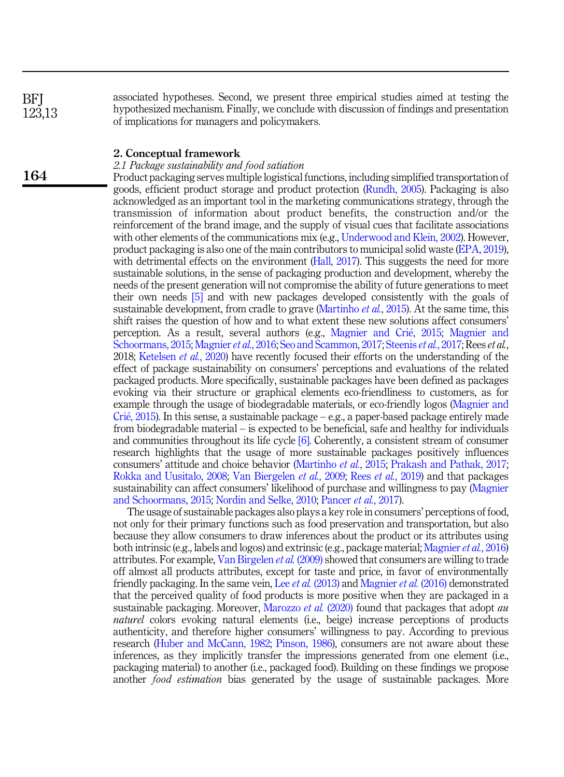associated hypotheses. Second, we present three empirical studies aimed at testing the hypothesized mechanism. Finally, we conclude with discussion of findings and presentation of implications for managers and policymakers.

## 2. Conceptual framework

# 2.1 Package sustainability and food satiation

Product packaging serves multiple logistical functions, including simplified transportation of goods, efficient product storage and product protection [\(Rundh, 2005\)](#page-12-6). Packaging is also acknowledged as an important tool in the marketing communications strategy, through the transmission of information about product benefits, the construction and/or the reinforcement of the brand image, and the supply of visual cues that facilitate associations with other elements of the communications mix (e.g., [Underwood and Klein, 2002](#page-13-7)). However, product packaging is also one of the main contributors to municipal solid waste [\(EPA, 2019\)](#page-10-9), with detrimental effects on the environment [\(Hall, 2017](#page-11-11)). This suggests the need for more sustainable solutions, in the sense of packaging production and development, whereby the needs of the present generation will not compromise the ability of future generations to meet their own needs [\[5\]](#page-10-10) and with new packages developed consistently with the goals of sustainable development, from cradle to grave [\(Martinho](#page-12-7) *et al.*, 2015). At the same time, this shift raises the question of how and to what extent these new solutions affect consumers' perception. As a result, several authors (e.g., [Magnier and Cri](#page-11-2)é[, 2015](#page-11-2); [Magnier and](#page-11-6) [Schoormans, 2015](#page-11-6); [Magnier](#page-11-8) *et al.*, 2016; [Seo and Scammon, 2017](#page-12-8); [Steenis](#page-13-1) *et al.*, 2017; Rees *et al.*, 2018; [Ketelsen](#page-11-12) *et al.*, 2020) have recently focused their efforts on the understanding of the effect of package sustainability on consumers' perceptions and evaluations of the related packaged products. More specifically, sustainable packages have been defined as packages evoking via their structure or graphical elements eco-friendliness to customers, as for example through the usage of biodegradable materials, or eco-friendly logos [\(Magnier and](#page-11-2) [Cri](#page-11-2)é, 2015). In this sense, a sustainable package – e.g., a paper-based package entirely made from biodegradable material – is expected to be beneficial, safe and healthy for individuals and communities throughout its life cycle [\[6\]](#page-10-11). Coherently, a consistent stream of consumer research highlights that the usage of more sustainable packages positively influences consumers' attitude and choice behavior [\(Martinho](#page-12-7) et al., 2015; [Prakash and Pathak, 2017](#page-12-9); [Rokka and Uusitalo, 2008;](#page-12-10) [Van Biergelen](#page-13-8) et al., 2009; Rees et al.[, 2019](#page-12-11)) and that packages sustainability can affect consumers' likelihood of purchase and willingness to pay [\(Magnier](#page-11-6) [and Schoormans, 2015;](#page-11-6) [Nordin and Selke, 2010;](#page-12-12) [Pancer](#page-12-13) et al., 2017).

The usage of sustainable packages also plays a key role in consumers' perceptions of food, not only for their primary functions such as food preservation and transportation, but also because they allow consumers to draw inferences about the product or its attributes using both intrinsic (e.g., labels and logos) and extrinsic (e.g., package material; [Magnier](#page-11-8)  $et al., 2016$ ) attributes. For example, [Van Birgelen](#page-13-8) et al. (2009) showed that consumers are willing to trade off almost all products attributes, except for taste and price, in favor of environmentally friendly packaging. In the same vein, Lee *et al.* [\(2013\)](#page-11-13) and [Magnier](#page-11-8) *et al.* (2016) demonstrated that the perceived quality of food products is more positive when they are packaged in a sustainable packaging. Moreover, [Marozzo](#page-12-3) *et al.* (2020) found that packages that adopt *au* naturel colors evoking natural elements (i.e., beige) increase perceptions of products authenticity, and therefore higher consumers' willingness to pay. According to previous research [\(Huber and McCann, 1982](#page-11-14); [Pinson, 1986\)](#page-12-14), consumers are not aware about these inferences, as they implicitly transfer the impressions generated from one element (i.e., packaging material) to another (i.e., packaged food). Building on these findings we propose another food estimation bias generated by the usage of sustainable packages. More

164

**BFI** 123,13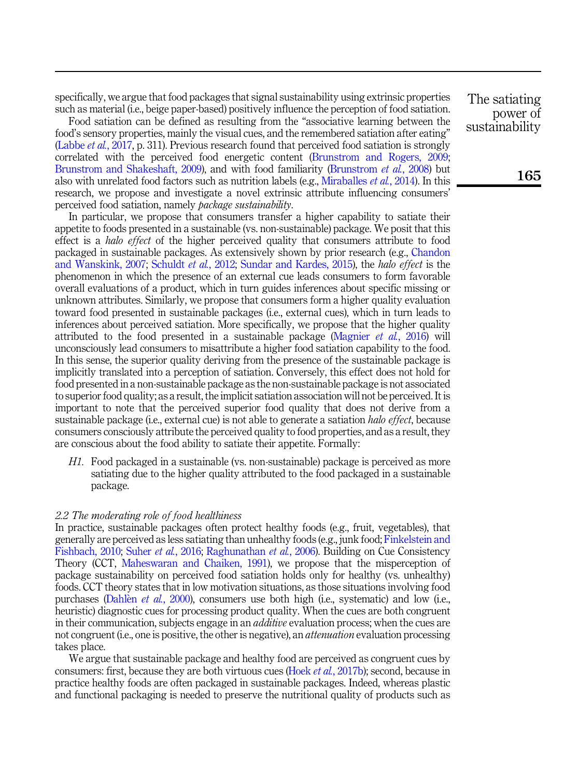specifically, we argue that food packages that signal sustainability using extrinsic properties such as material (i.e., beige paper-based) positively influence the perception of food satiation.

Food satiation can be defined as resulting from the "associative learning between the food's sensory properties, mainly the visual cues, and the remembered satiation after eating" ([Labbe](#page-11-15) *et al.*, 2017, p. 311). Previous research found that perceived food satiation is strongly correlated with the perceived food energetic content [\(Brunstrom and Rogers, 2009](#page-10-12); [Brunstrom and Shakeshaft, 2009](#page-10-13)), and with food familiarity ([Brunstrom](#page-10-14) et al., 2008) but also with unrelated food factors such as nutrition labels (e.g., [Miraballes](#page-12-4) et al., 2014). In this research, we propose and investigate a novel extrinsic attribute influencing consumers' perceived food satiation, namely package sustainability.

In particular, we propose that consumers transfer a higher capability to satiate their appetite to foods presented in a sustainable (vs. non-sustainable) package. We posit that this effect is a *halo effect* of the higher perceived quality that consumers attribute to food packaged in sustainable packages. As extensively shown by prior research (e.g., [Chandon](#page-10-7) [and Wanskink, 2007;](#page-10-7) [Schuldt](#page-12-15) et al., 2012; [Sundar and Kardes, 2015\)](#page-13-9), the halo effect is the phenomenon in which the presence of an external cue leads consumers to form favorable overall evaluations of a product, which in turn guides inferences about specific missing or unknown attributes. Similarly, we propose that consumers form a higher quality evaluation toward food presented in sustainable packages (i.e., external cues), which in turn leads to inferences about perceived satiation. More specifically, we propose that the higher quality attributed to the food presented in a sustainable package ([Magnier](#page-11-8) *et al.*, 2016) will unconsciously lead consumers to misattribute a higher food satiation capability to the food. In this sense, the superior quality deriving from the presence of the sustainable package is implicitly translated into a perception of satiation. Conversely, this effect does not hold for food presented in a non-sustainable package as the non-sustainable package is not associated to superior food quality; as a result, the implicit satiation association will not be perceived. It is important to note that the perceived superior food quality that does not derive from a sustainable package (i.e., external cue) is not able to generate a satiation *halo effect*, because consumers consciously attribute the perceived quality to food properties, and as a result, they are conscious about the food ability to satiate their appetite. Formally:

<span id="page-3-0"></span>H1. Food packaged in a sustainable (vs. non-sustainable) package is perceived as more satiating due to the higher quality attributed to the food packaged in a sustainable package.

#### 2.2 The moderating role of food healthiness

In practice, sustainable packages often protect healthy foods (e.g., fruit, vegetables), that generally are perceived as less satiating than unhealthy foods (e.g., junk food; [Finkelstein and](#page-10-6) [Fishbach, 2010;](#page-10-6) Suher et al.[, 2016;](#page-13-5) [Raghunathan](#page-12-16) et al., 2006). Building on Cue Consistency Theory (CCT, [Maheswaran and Chaiken, 1991](#page-12-5)), we propose that the misperception of package sustainability on perceived food satiation holds only for healthy (vs. unhealthy) foods. CCT theory states that in low motivation situations, as those situations involving food purchases ([Dahl](#page-10-15)en *et al.*[, 2000](#page-10-15)), consumers use both high (i.e., systematic) and low (i.e., heuristic) diagnostic cues for processing product quality. When the cues are both congruent in their communication, subjects engage in an *additive* evaluation process; when the cues are not congruent (i.e., one is positive, the other is negative), an *attenuation* evaluation processing takes place.

We argue that sustainable package and healthy food are perceived as congruent cues by consumers: first, because they are both virtuous cues (Hoek *et al.*[, 2017b\)](#page-11-16); second, because in practice healthy foods are often packaged in sustainable packages. Indeed, whereas plastic and functional packaging is needed to preserve the nutritional quality of products such as The satiating power of sustainability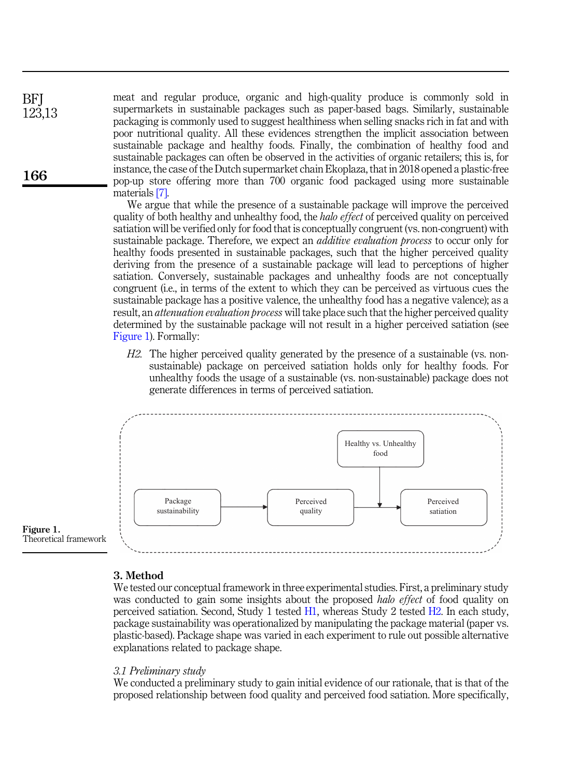meat and regular produce, organic and high-quality produce is commonly sold in supermarkets in sustainable packages such as paper-based bags. Similarly, sustainable packaging is commonly used to suggest healthiness when selling snacks rich in fat and with poor nutritional quality. All these evidences strengthen the implicit association between sustainable package and healthy foods. Finally, the combination of healthy food and sustainable packages can often be observed in the activities of organic retailers; this is, for instance, the case of the Dutch supermarket chain Ekoplaza, that in 2018 opened a plastic-free pop-up store offering more than 700 organic food packaged using more sustainable materials [\[7\]](#page-10-16).

We argue that while the presence of a sustainable package will improve the perceived quality of both healthy and unhealthy food, the *halo effect* of perceived quality on perceived satiation will be verified only for food that is conceptually congruent (vs. non-congruent) with sustainable package. Therefore, we expect an *additive evaluation process* to occur only for healthy foods presented in sustainable packages, such that the higher perceived quality deriving from the presence of a sustainable package will lead to perceptions of higher satiation. Conversely, sustainable packages and unhealthy foods are not conceptually congruent (i.e., in terms of the extent to which they can be perceived as virtuous cues the sustainable package has a positive valence, the unhealthy food has a negative valence); as a result, an *attenuation evaluation process* will take place such that the higher perceived quality determined by the sustainable package will not result in a higher perceived satiation (see Figure 1). Formally:

<span id="page-4-0"></span>H2. The higher perceived quality generated by the presence of a sustainable (vs. nonsustainable) package on perceived satiation holds only for healthy foods. For unhealthy foods the usage of a sustainable (vs. non-sustainable) package does not generate differences in terms of perceived satiation.



#### 3. Method

We tested our conceptual framework in three experimental studies. First, a preliminary study was conducted to gain some insights about the proposed *halo effect* of food quality on perceived satiation. Second, Study 1 tested [H1](#page-3-0), whereas Study 2 tested [H2.](#page-4-0) In each study, package sustainability was operationalized by manipulating the package material (paper vs. plastic-based). Package shape was varied in each experiment to rule out possible alternative explanations related to package shape.

#### 3.1 Preliminary study

We conducted a preliminary study to gain initial evidence of our rationale, that is that of the proposed relationship between food quality and perceived food satiation. More specifically,

166

**BFI** 123,13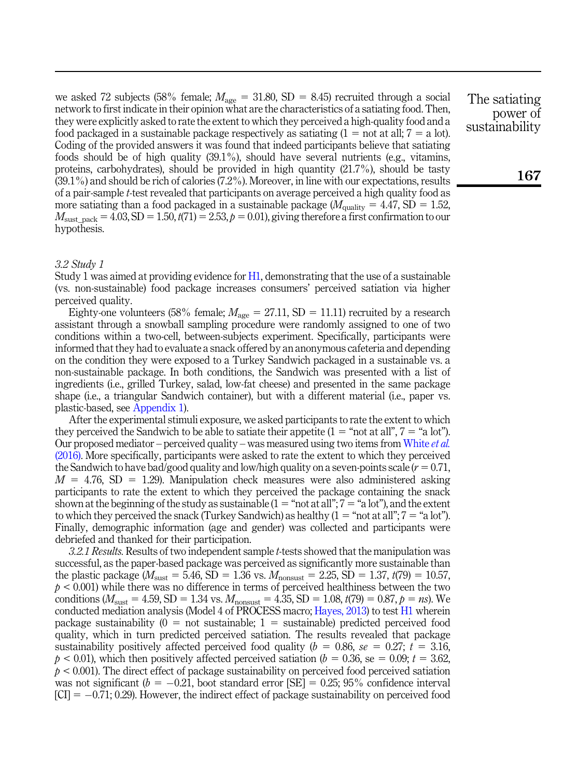we asked 72 subjects (58% female;  $M_{\text{age}} = 31.80$ , SD = 8.45) recruited through a social network to first indicate in their opinion what are the characteristics of a satiating food. Then, they were explicitly asked to rate the extent to which they perceived a high-quality food and a food packaged in a sustainable package respectively as satiating  $(1 = \text{not at all}; 7 = \text{a lot}).$ Coding of the provided answers it was found that indeed participants believe that satiating foods should be of high quality  $(39.1\%)$ , should have several nutrients (e.g., vitamins, proteins, carbohydrates), should be provided in high quantity (21.7%), should be tasty (39.1%) and should be rich of calories (7.2%). Moreover, in line with our expectations, results of a pair-sample t-test revealed that participants on average perceived a high quality food as more satiating than a food packaged in a sustainable package ( $M_{\text{quality}} = 4.47$ , SD = 1.52,  $M_{\text{sust\_pack}} = 4.03$ , SD = 1.50,  $t(71) = 2.53$ ,  $p = 0.01$ ), giving therefore a first confirmation to our hypothesis.

## 3.2 Study 1

Study 1 was aimed at providing evidence for [H1](#page-3-0), demonstrating that the use of a sustainable (vs. non-sustainable) food package increases consumers' perceived satiation via higher perceived quality.

Eighty-one volunteers (58% female;  $M_{\text{age}} = 27.11$ , SD = 11.11) recruited by a research assistant through a snowball sampling procedure were randomly assigned to one of two conditions within a two-cell, between-subjects experiment. Specifically, participants were informed that they had to evaluate a snack offered by an anonymous cafeteria and depending on the condition they were exposed to a Turkey Sandwich packaged in a sustainable vs. a non-sustainable package. In both conditions, the Sandwich was presented with a list of ingredients (i.e., grilled Turkey, salad, low-fat cheese) and presented in the same package shape (i.e., a triangular Sandwich container), but with a different material (i.e., paper vs. plastic-based, see Appendix 1).

After the experimental stimuli exposure, we asked participants to rate the extent to which they perceived the Sandwich to be able to satiate their appetite  $(1 = "not at all", 7 = "a lot").$ Our proposed mediator – perceived quality – was measured using two items from [White](#page-13-10) *et al.* [\(2016\).](#page-13-10) More specifically, participants were asked to rate the extent to which they perceived the Sandwich to have bad/good quality and low/high quality on a seven-points scale ( $r = 0.71$ ,  $M = 4.76$ , SD = 1.29). Manipulation check measures were also administered asking participants to rate the extent to which they perceived the package containing the snack shown at the beginning of the study as sustainable  $(1 = "not at all"; 7 = "a lot"), and the extent$ to which they perceived the snack (Turkey Sandwich) as healthy  $(1 = "not at all"; 7 = "a lot").$ Finally, demographic information (age and gender) was collected and participants were debriefed and thanked for their participation.

3.2.1 Results. Results of two independent sample t-tests showed that the manipulation was successful, as the paper-based package was perceived as significantly more sustainable than the plastic package ( $M_{\text{sust}} = 5.46$ , SD = 1.36 vs.  $M_{\text{nonsust}} = 2.25$ , SD = 1.37,  $t(79) = 10.57$ ,  $p < 0.001$ ) while there was no difference in terms of perceived healthiness between the two conditions ( $M_{\text{sust}} = 4.59$ , SD = 1.34 vs.  $M_{\text{nonsust}} = 4.35$ , SD = 1.08,  $t(79) = 0.87$ ,  $p = ns$ ). We conducted mediation analysis (Model 4 of PROCESS macro; [Hayes, 2013\)](#page-11-17) to test [H1](#page-3-0) wherein package sustainability  $(0 = not$  sustainable;  $1 =$  sustainable) predicted perceived food quality, which in turn predicted perceived satiation. The results revealed that package sustainability positively affected perceived food quality ( $b = 0.86$ , se = 0.27;  $t = 3.16$ ,  $p < 0.01$ , which then positively affected perceived satiation ( $b = 0.36$ , se = 0.09;  $t = 3.62$ ,  $p < 0.001$ ). The direct effect of package sustainability on perceived food perceived satiation was not significant ( $b = -0.21$ , boot standard error [SE] = 0.25; 95% confidence interval  $|CI| = -0.71; 0.29$ . However, the indirect effect of package sustainability on perceived food The satiating power of sustainability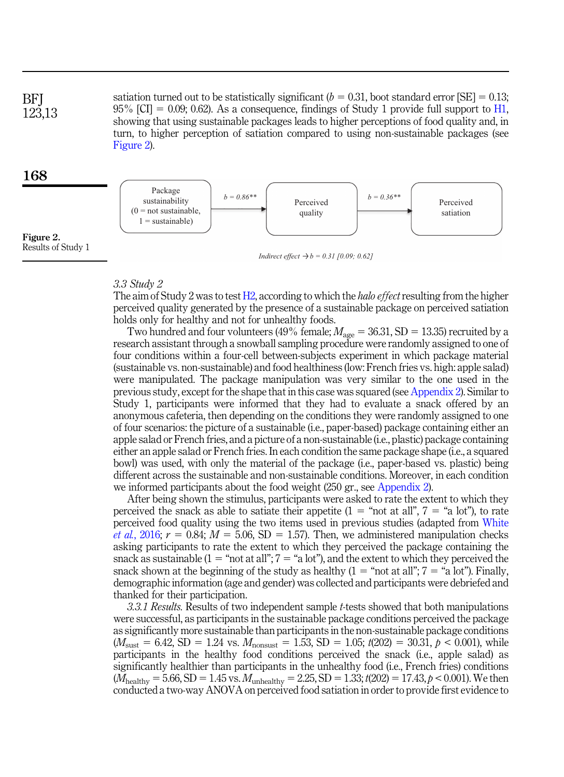**BFI** 123,13 satiation turned out to be statistically significant ( $b = 0.31$ , boot standard error [SE] = 0.13;  $95\%$  [CI] = 0.09; 0.62). As a consequence, findings of Study 1 provide full support to [H1](#page-3-0), showing that using sustainable packages leads to higher perceptions of food quality and, in turn, to higher perception of satiation compared to using non-sustainable packages (see Figure 2).

## 168

Figure 2. Results of Study 1



*Indirect effect*  $\rightarrow b = 0.31$  [0.09; 0.62]

## 3.3 Study 2

The aim of Study 2 was to test [H2](#page-4-0), according to which the *halo effect* resulting from the higher perceived quality generated by the presence of a sustainable package on perceived satiation holds only for healthy and not for unhealthy foods.

Two hundred and four volunteers (49% female;  $M_{\text{age}} = 36.31$ , SD = 13.35) recruited by a research assistant through a snowball sampling procedure were randomly assigned to one of four conditions within a four-cell between-subjects experiment in which package material (sustainable vs. non-sustainable) and food healthiness (low: French fries vs. high: apple salad) were manipulated. The package manipulation was very similar to the one used in the previous study, except for the shape that in this case was squared (see Appendix 2). Similar to Study 1, participants were informed that they had to evaluate a snack offered by an anonymous cafeteria, then depending on the conditions they were randomly assigned to one of four scenarios: the picture of a sustainable (i.e., paper-based) package containing either an apple salad or French fries, and a picture of a non-sustainable (i.e., plastic) package containing either an apple salad or French fries. In each condition the same package shape (i.e., a squared bowl) was used, with only the material of the package (i.e., paper-based vs. plastic) being different across the sustainable and non-sustainable conditions. Moreover, in each condition we informed participants about the food weight (250 gr., see Appendix 2).

After being shown the stimulus, participants were asked to rate the extent to which they perceived the snack as able to satiate their appetite (1 = "not at all",  $7 =$  "a lot"), to rate perceived food quality using the two items used in previous studies (adapted from [White](#page-13-10) *et al.*[, 2016](#page-13-10);  $r = 0.84$ ;  $M = 5.06$ , SD = 1.57). Then, we administered manipulation checks asking participants to rate the extent to which they perceived the package containing the snack as sustainable  $(1 - \text{``not at all''}; 7 = \text{``a lot''})$ , and the extent to which they perceived the snack shown at the beginning of the study as healthy  $(1 = "not at all"; 7 = "a lot").$  Finally, demographic information (age and gender) was collected and participants were debriefed and thanked for their participation.

3.3.1 Results. Results of two independent sample t-tests showed that both manipulations were successful, as participants in the sustainable package conditions perceived the package as significantly more sustainable than participants in the non-sustainable package conditions  $(M_{\text{sust}} = 6.42, SD = 1.24$  vs.  $M_{\text{nonsust}} = 1.53, SD = 1.05$ ;  $t(202) = 30.31, p < 0.001$ ), while participants in the healthy food conditions perceived the snack (i.e., apple salad) as significantly healthier than participants in the unhealthy food (i.e., French fries) conditions  $(M_{\text{healthy}} = 5.66, SD = 1.45 \text{ vs. } M_{\text{unhealthy}} = 2.25, SD = 1.33; t(202) = 17.43, p < 0.001$ ). We then conducted a two-way ANOVA on perceived food satiation in order to provide first evidence to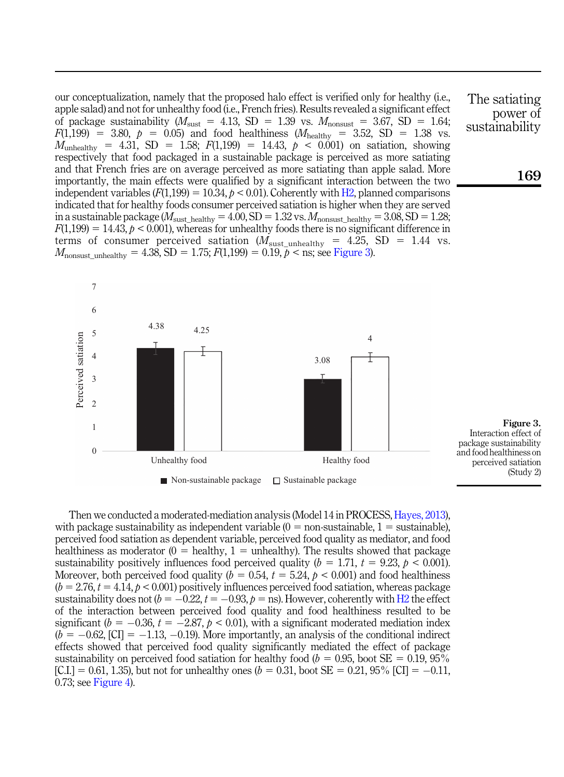our conceptualization, namely that the proposed halo effect is verified only for healthy (i.e., apple salad) and not for unhealthy food (i.e., French fries). Results revealed a significant effect of package sustainability ( $M_{\text{sust}} = 4.13$ , SD = 1.39 vs.  $M_{\text{nonsust}} = 3.67$ , SD = 1.64;  $F(1,199) = 3.80, p = 0.05$  and food healthiness  $(M_{\text{healthy}} = 3.52, SD = 1.38 \text{ vs.}$  $M_{\text{unhealthv}}$  = 4.31, SD = 1.58;  $F(1,199)$  = 14.43,  $p < 0.001$ ) on satiation, showing respectively that food packaged in a sustainable package is perceived as more satiating and that French fries are on average perceived as more satiating than apple salad. More importantly, the main effects were qualified by a significant interaction between the two independent variables  $(F(1,199) = 10.34, p < 0.01)$ . Coherently with [H2,](#page-4-0) planned comparisons indicated that for healthy foods consumer perceived satiation is higher when they are served in a sustainable package ( $M_{\text{sust\_healthy}} = 4.00$ , SD = 1.32 vs.  $M_{\text{nonsust\_healthy}} = 3.08$ , SD = 1.28;  $F(1,199) = 14.43$ ,  $p < 0.001$ ), whereas for unhealthy foods there is no significant difference in terms of consumer perceived satiation ( $M_{\text{sust\_unhealthy}} = 4.25$ , SD = 1.44 vs.  $M_{\text{nonsust\_unhealthy}} = 4.38$ , SD = 1.75;  $F(1,199) = 0.19$ ,  $p <$  ns; see Figure 3).



The satiating power of sustainability

169

Figure 3. Interaction effect of package sustainability and food healthiness on perceived satiation (Study 2)

Then we conducted a moderated-mediation analysis (Model 14 in PROCESS, [Hayes, 2013\)](#page-11-17), with package sustainability as independent variable  $(0 =$  non-sustainable,  $1 =$  sustainable), perceived food satiation as dependent variable, perceived food quality as mediator, and food healthiness as moderator  $(0 =$  healthy,  $1 =$  unhealthy). The results showed that package sustainability positively influences food perceived quality ( $b = 1.71$ ,  $t = 9.23$ ,  $p < 0.001$ ). Moreover, both perceived food quality ( $b = 0.54$ ,  $t = 5.24$ ,  $b < 0.001$ ) and food healthiness  $(b = 2.76, t = 4.14, p < 0.001)$  positively influences perceived food satiation, whereas package sustainability does not  $(b = -0.22, t = -0.93, p = \text{ns})$ . However, coherently with [H2](#page-4-0) the effect of the interaction between perceived food quality and food healthiness resulted to be significant ( $b = -0.36$ ,  $t = -2.87$ ,  $p < 0.01$ ), with a significant moderated mediation index  $(b = -0.62, [\text{CI}] = -1.13, -0.19)$ . More importantly, an analysis of the conditional indirect effects showed that perceived food quality significantly mediated the effect of package sustainability on perceived food satiation for healthy food ( $b = 0.95$ , boot SE = 0.19, 95%)  $[C,I] = 0.61, 1.35$ , but not for unhealthy ones ( $b = 0.31$ , boot SE = 0.21, 95% [CI] = -0.11, 0.73; see [Figure 4\)](#page-8-0).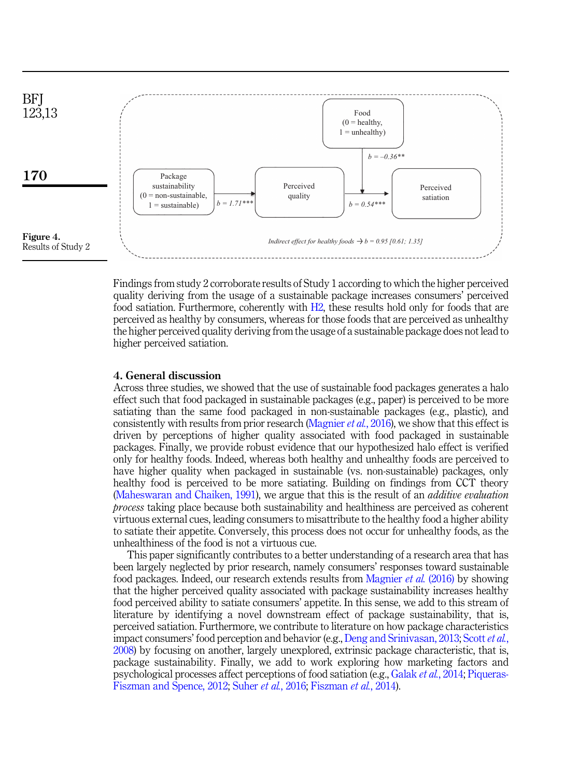<span id="page-8-0"></span>

Findings from study 2 corroborate results of Study 1 according to which the higher perceived quality deriving from the usage of a sustainable package increases consumers' perceived food satiation. Furthermore, coherently with [H2,](#page-4-0) these results hold only for foods that are perceived as healthy by consumers, whereas for those foods that are perceived as unhealthy the higher perceived quality deriving from the usage of a sustainable package does not lead to higher perceived satiation.

## 4. General discussion

Across three studies, we showed that the use of sustainable food packages generates a halo effect such that food packaged in sustainable packages (e.g., paper) is perceived to be more satiating than the same food packaged in non-sustainable packages (e.g., plastic), and consistently with results from prior research [\(Magnier](#page-11-8) *et al.*, 2016), we show that this effect is driven by perceptions of higher quality associated with food packaged in sustainable packages. Finally, we provide robust evidence that our hypothesized halo effect is verified only for healthy foods. Indeed, whereas both healthy and unhealthy foods are perceived to have higher quality when packaged in sustainable (vs. non-sustainable) packages, only healthy food is perceived to be more satiating. Building on findings from CCT theory ([Maheswaran and Chaiken, 1991\)](#page-12-5), we argue that this is the result of an additive evaluation process taking place because both sustainability and healthiness are perceived as coherent virtuous external cues, leading consumers to misattribute to the healthy food a higher ability to satiate their appetite. Conversely, this process does not occur for unhealthy foods, as the unhealthiness of the food is not a virtuous cue.

This paper significantly contributes to a better understanding of a research area that has been largely neglected by prior research, namely consumers' responses toward sustainable food packages. Indeed, our research extends results from [Magnier](#page-11-8) et al. (2016) by showing that the higher perceived quality associated with package sustainability increases healthy food perceived ability to satiate consumers' appetite. In this sense, we add to this stream of literature by identifying a novel downstream effect of package sustainability, that is, perceived satiation. Furthermore, we contribute to literature on how package characteristics impact consumers' food perception and behavior (e.g., [Deng and Srinivasan, 2013;](#page-10-17) [Scott](#page-12-17) et al., [2008\)](#page-12-17) by focusing on another, largely unexplored, extrinsic package characteristic, that is, package sustainability. Finally, we add to work exploring how marketing factors and psychological processes affect perceptions of food satiation (e.g., [Galak](#page-11-18) *et al.*, 2014; [Piqueras-](#page-12-18)[Fiszman and Spence, 2012](#page-12-18); Suher et al.[, 2016;](#page-13-5) [Fiszman](#page-10-18) et al., 2014).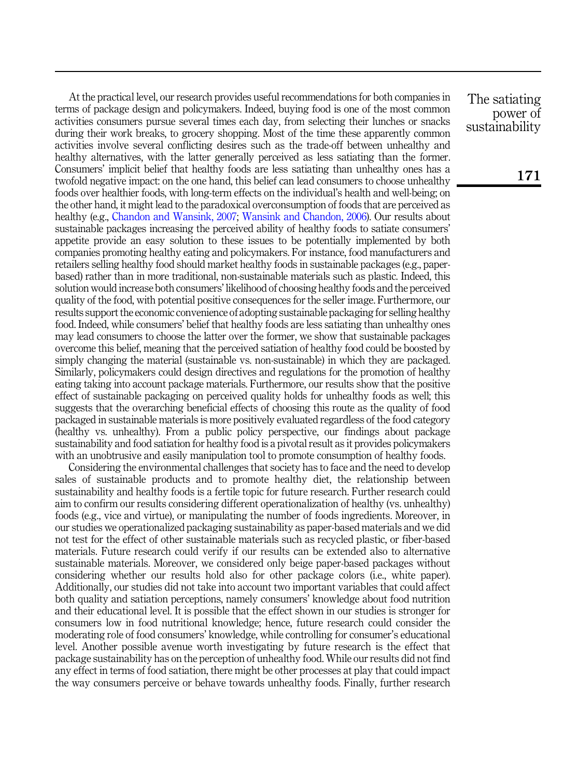At the practical level, our research provides useful recommendations for both companies in terms of package design and policymakers. Indeed, buying food is one of the most common activities consumers pursue several times each day, from selecting their lunches or snacks during their work breaks, to grocery shopping. Most of the time these apparently common activities involve several conflicting desires such as the trade-off between unhealthy and healthy alternatives, with the latter generally perceived as less satiating than the former. Consumers' implicit belief that healthy foods are less satiating than unhealthy ones has a twofold negative impact: on the one hand, this belief can lead consumers to choose unhealthy foods over healthier foods, with long-term effects on the individual's health and well-being; on the other hand, it might lead to the paradoxical overconsumption of foods that are perceived as healthy (e.g., [Chandon and Wansink, 2007](#page-10-7); [Wansink and Chandon, 2006\)](#page-13-2). Our results about sustainable packages increasing the perceived ability of healthy foods to satiate consumers' appetite provide an easy solution to these issues to be potentially implemented by both companies promoting healthy eating and policymakers. For instance, food manufacturers and retailers selling healthy food should market healthy foods in sustainable packages (e.g., paperbased) rather than in more traditional, non-sustainable materials such as plastic. Indeed, this solution would increase both consumers' likelihood of choosing healthy foods and the perceived quality of the food, with potential positive consequences for the seller image. Furthermore, our results support the economic convenience of adopting sustainable packaging for selling healthy food. Indeed, while consumers' belief that healthy foods are less satiating than unhealthy ones may lead consumers to choose the latter over the former, we show that sustainable packages overcome this belief, meaning that the perceived satiation of healthy food could be boosted by simply changing the material (sustainable vs. non-sustainable) in which they are packaged. Similarly, policymakers could design directives and regulations for the promotion of healthy eating taking into account package materials. Furthermore, our results show that the positive effect of sustainable packaging on perceived quality holds for unhealthy foods as well; this suggests that the overarching beneficial effects of choosing this route as the quality of food packaged in sustainable materials is more positively evaluated regardless of the food category (healthy vs. unhealthy). From a public policy perspective, our findings about package sustainability and food satiation for healthy food is a pivotal result as it provides policymakers with an unobtrusive and easily manipulation tool to promote consumption of healthy foods.

Considering the environmental challenges that society has to face and the need to develop sales of sustainable products and to promote healthy diet, the relationship between sustainability and healthy foods is a fertile topic for future research. Further research could aim to confirm our results considering different operationalization of healthy (vs. unhealthy) foods (e.g., vice and virtue), or manipulating the number of foods ingredients. Moreover, in our studies we operationalized packaging sustainability as paper-based materials and we did not test for the effect of other sustainable materials such as recycled plastic, or fiber-based materials. Future research could verify if our results can be extended also to alternative sustainable materials. Moreover, we considered only beige paper-based packages without considering whether our results hold also for other package colors (i.e., white paper). Additionally, our studies did not take into account two important variables that could affect both quality and satiation perceptions, namely consumers' knowledge about food nutrition and their educational level. It is possible that the effect shown in our studies is stronger for consumers low in food nutritional knowledge; hence, future research could consider the moderating role of food consumers' knowledge, while controlling for consumer's educational level. Another possible avenue worth investigating by future research is the effect that package sustainability has on the perception of unhealthy food. While our results did not find any effect in terms of food satiation, there might be other processes at play that could impact the way consumers perceive or behave towards unhealthy foods. Finally, further research

The satiating power of sustainability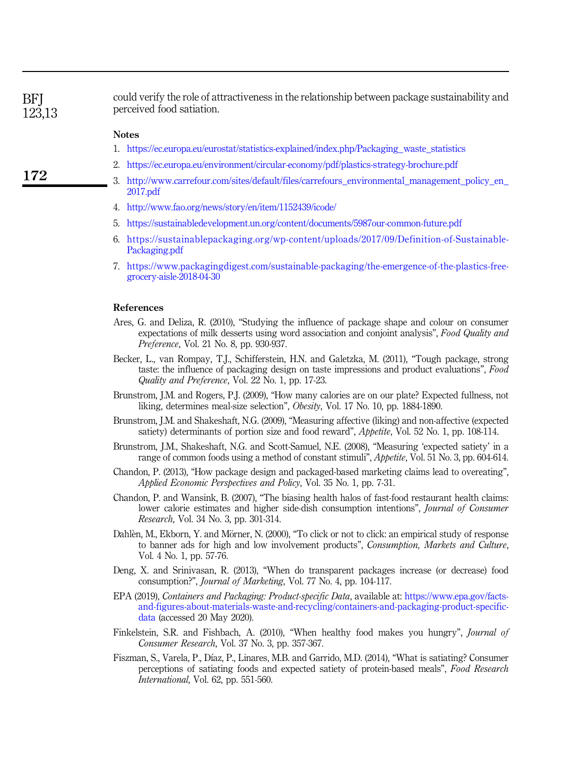**BFI** 123,13

could verify the role of attractiveness in the relationship between package sustainability and perceived food satiation.

#### **Notes**

- <span id="page-10-0"></span>1. [https://ec.europa.eu/eurostat/statistics-explained/index.php/Packaging\\_waste\\_statistics](https://ec.europa.eu/eurostat/statistics-explained/index.php/Packaging_waste_statistics)
- <span id="page-10-1"></span>2. <https://ec.europa.eu/environment/circular-economy/pdf/plastics-strategy-brochure.pdf>
- <span id="page-10-2"></span>3. [http://www.carrefour.com/sites/default/files/carrefours\\_environmental\\_management\\_policy\\_en\\_](http://www.carrefour.com/sites/default/files/carrefours_environmental_management_policy_en_2017.pdf) [2017.pdf](http://www.carrefour.com/sites/default/files/carrefours_environmental_management_policy_en_2017.pdf)
- <span id="page-10-8"></span>4. <http://www.fao.org/news/story/en/item/1152439/icode/>
- <span id="page-10-10"></span>5. <https://sustainabledevelopment.un.org/content/documents/5987our-common-future.pdf>
- <span id="page-10-11"></span>6. [https://sustainablepackaging.org/wp-content/uploads/2017/09/Definition-of-Sustainable-](https://sustainablepackaging.org/wp-content/uploads/2017/09/Definition-of-Sustainable-Packaging.pdf)[Packaging.pdf](https://sustainablepackaging.org/wp-content/uploads/2017/09/Definition-of-Sustainable-Packaging.pdf)
- <span id="page-10-16"></span>7. [https://www.packagingdigest.com/sustainable-packaging/the-emergence-of-the-plastics-free](https://www.packagingdigest.com/sustainable-packaging/the-emergence-of-the-plastics-free-grocery-aisle-2018-04-30)[grocery-aisle-2018-04-30](https://www.packagingdigest.com/sustainable-packaging/the-emergence-of-the-plastics-free-grocery-aisle-2018-04-30)

#### References

- <span id="page-10-3"></span>Ares, G. and Deliza, R. (2010), "Studying the influence of package shape and colour on consumer expectations of milk desserts using word association and conjoint analysis", Food Quality and Preference, Vol. 21 No. 8, pp. 930-937.
- <span id="page-10-4"></span>Becker, L., van Rompay, T.J., Schifferstein, H.N. and Galetzka, M. (2011), "Tough package, strong taste: the influence of packaging design on taste impressions and product evaluations", Food Quality and Preference, Vol. 22 No. 1, pp. 17-23.
- <span id="page-10-12"></span>Brunstrom, J.M. and Rogers, P.J. (2009), "How many calories are on our plate? Expected fullness, not liking, determines meal-size selection", Obesity, Vol. 17 No. 10, pp. 1884-1890.
- <span id="page-10-13"></span>Brunstrom, J.M. and Shakeshaft, N.G. (2009), "Measuring affective (liking) and non-affective (expected satiety) determinants of portion size and food reward", *Appetite*, Vol. 52 No. 1, pp. 108-114.
- <span id="page-10-14"></span>Brunstrom, J.M., Shakeshaft, N.G. and Scott-Samuel, N.E. (2008), "Measuring 'expected satiety' in a range of common foods using a method of constant stimuli", Appetite, Vol. 51 No. 3, pp. 604-614.
- <span id="page-10-5"></span>Chandon, P. (2013), "How package design and packaged-based marketing claims lead to overeating", Applied Economic Perspectives and Policy, Vol. 35 No. 1, pp. 7-31.
- <span id="page-10-7"></span>Chandon, P. and Wansink, B. (2007), "The biasing health halos of fast-food restaurant health claims: lower calorie estimates and higher side-dish consumption intentions", Journal of Consumer Research, Vol. 34 No. 3, pp. 301-314.
- <span id="page-10-15"></span>Dahlèn, M., Ekborn, Y. and Mörner, N. (2000), "To click or not to click: an empirical study of response to banner ads for high and low involvement products", Consumption, Markets and Culture, Vol. 4 No. 1, pp. 57-76.
- <span id="page-10-17"></span>Deng, X. and Srinivasan, R. (2013), "When do transparent packages increase (or decrease) food consumption?", Journal of Marketing, Vol. 77 No. 4, pp. 104-117.
- <span id="page-10-9"></span>EPA (2019), Containers and Packaging: Product-specific Data, available at: [https://www.epa.gov/facts](https://www.epa.gov/facts-and-figures-about-materials-waste-and-recycling/containers-and-packaging-product-specific-data)[and-figures-about-materials-waste-and-recycling/containers-and-packaging-product-specific](https://www.epa.gov/facts-and-figures-about-materials-waste-and-recycling/containers-and-packaging-product-specific-data)[data](https://www.epa.gov/facts-and-figures-about-materials-waste-and-recycling/containers-and-packaging-product-specific-data) (accessed 20 May 2020).
- <span id="page-10-6"></span>Finkelstein, S.R. and Fishbach, A. (2010), "When healthy food makes you hungry", Journal of Consumer Research, Vol. 37 No. 3, pp. 357-367.
- <span id="page-10-18"></span>Fiszman, S., Varela, P., Díaz, P., Linares, M.B. and Garrido, M.D. (2014), "What is satiating? Consumer perceptions of satiating foods and expected satiety of protein-based meals", Food Research International, Vol. 62, pp. 551-560.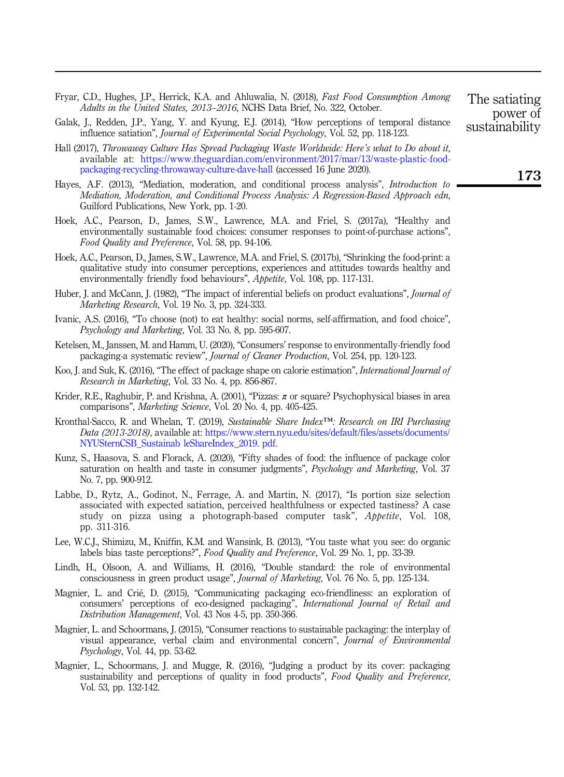- <span id="page-11-10"></span>Fryar, C.D., Hughes, J.P., Herrick, K.A. and Ahluwalia, N. (2018), Fast Food Consumption Among Adults in the United States, 2013–2016, NCHS Data Brief, No. 322, October.
- <span id="page-11-18"></span>Galak, J., Redden, J.P., Yang, Y. and Kyung, E.J. (2014), "How perceptions of temporal distance influence satiation", Journal of Experimental Social Psychology, Vol. 52, pp. 118-123.
- <span id="page-11-11"></span>Hall (2017), Throwaway Culture Has Spread Packaging Waste Worldwide: Here's what to Do about it, available at: [https://www.theguardian.com/environment/2017/mar/13/waste-plastic-food](https://www.theguardian.com/environment/2017/mar/13/waste-plastic-food-packaging-recycling-throwaway-culture-dave-hall)[packaging-recycling-throwaway-culture-dave-hall](https://www.theguardian.com/environment/2017/mar/13/waste-plastic-food-packaging-recycling-throwaway-culture-dave-hall) (accessed 16 June 2020).
- <span id="page-11-17"></span>Hayes, A.F. (2013), "Mediation, moderation, and conditional process analysis", *Introduction to* Mediation, Moderation, and Conditional Process Analysis: A Regression-Based Approach edn, Guilford Publications, New York, pp. 1-20.
- <span id="page-11-0"></span>Hoek, A.C., Pearson, D., James, S.W., Lawrence, M.A. and Friel, S. (2017a), "Healthy and environmentally sustainable food choices: consumer responses to point-of-purchase actions", Food Quality and Preference, Vol. 58, pp. 94-106.
- <span id="page-11-16"></span>Hoek, A.C., Pearson, D., James, S.W., Lawrence, M.A. and Friel, S. (2017b), "Shrinking the food-print: a qualitative study into consumer perceptions, experiences and attitudes towards healthy and environmentally friendly food behaviours", Appetite, Vol. 108, pp. 117-131.
- <span id="page-11-14"></span>Huber, J. and McCann, J. (1982), "The impact of inferential beliefs on product evaluations", *Journal of* Marketing Research, Vol. 19 No. 3, pp. 324-333.
- <span id="page-11-9"></span>Ivanic, A.S. (2016), "To choose (not) to eat healthy: social norms, self-affirmation, and food choice", Psychology and Marketing, Vol. 33 No. 8, pp. 595-607.
- <span id="page-11-12"></span>Ketelsen, M., Janssen, M. and Hamm, U. (2020), "Consumers' response to environmentally-friendly food packaging-a systematic review", Journal of Cleaner Production, Vol. 254, pp. 120-123.
- <span id="page-11-4"></span>Koo, J. and Suk, K. (2016), "The effect of package shape on calorie estimation", *International Journal of* Research in Marketing, Vol. 33 No. 4, pp. 856-867.
- <span id="page-11-3"></span>Krider, R.E., Raghubir, P. and Krishna, A. (2001), "Pizzas:  $\pi$  or square? Psychophysical biases in area comparisons", Marketing Science, Vol. 20 No. 4, pp. 405-425.
- <span id="page-11-7"></span>Kronthal-Sacco, R. and Whelan, T. (2019), Sustainable Share Index<sup>™</sup>: Research on IRI Purchasing Data (2013-2018), available at: [https://www.stern.nyu.edu/sites/default/files/assets/documents/](https://www. stern. nyu. edu/sites/default/files/assets/documents/NYUSternCSB_Sustainab leShareIndex_2019. pdf) [NYUSternCSB\\_Sustainab leShareIndex\\_2019. pdf](https://www. stern. nyu. edu/sites/default/files/assets/documents/NYUSternCSB_Sustainab leShareIndex_2019. pdf).
- <span id="page-11-5"></span>Kunz, S., Haasova, S. and Florack, A. (2020), "Fifty shades of food: the influence of package color saturation on health and taste in consumer judgments", Psychology and Marketing, Vol. 37 No. 7, pp. 900-912.
- <span id="page-11-15"></span>Labbe, D., Rytz, A., Godinot, N., Ferrage, A. and Martin, N. (2017), "Is portion size selection associated with expected satiation, perceived healthfulness or expected tastiness? A case study on pizza using a photograph-based computer task", Appetite, Vol. 108, pp. 311-316.
- <span id="page-11-13"></span>Lee, W.C.J., Shimizu, M., Kniffin, K.M. and Wansink, B. (2013), "You taste what you see: do organic labels bias taste perceptions?", Food Quality and Preference, Vol. 29 No. 1, pp. 33-39.
- <span id="page-11-1"></span>Lindh, H., Olsoon, A. and Williams, H. (2016), "Double standard: the role of environmental consciousness in green product usage", Journal of Marketing, Vol. 76 No. 5, pp. 125-134.
- <span id="page-11-2"></span>Magnier, L. and Crié, D. (2015), "Communicating packaging eco-friendliness: an exploration of consumers' perceptions of eco-designed packaging", International Journal of Retail and Distribution Management, Vol. 43 Nos 4-5, pp. 350-366.
- <span id="page-11-6"></span>Magnier, L. and Schoormans, J. (2015), "Consumer reactions to sustainable packaging: the interplay of visual appearance, verbal claim and environmental concern", Journal of Environmental Psychology, Vol. 44, pp. 53-62.
- <span id="page-11-8"></span>Magnier, L., Schoormans, J. and Mugge, R. (2016), "Judging a product by its cover: packaging sustainability and perceptions of quality in food products", Food Quality and Preference, Vol. 53, pp. 132-142.

The satiating power of sustainability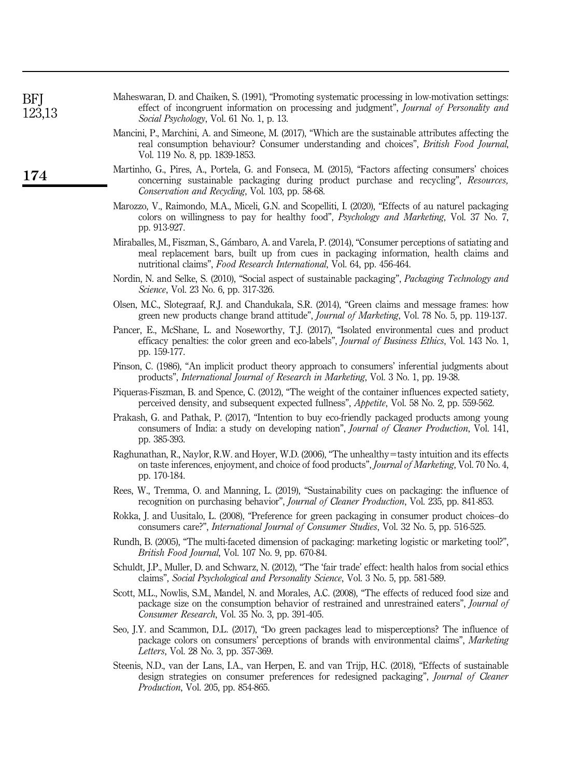<span id="page-12-18"></span><span id="page-12-17"></span><span id="page-12-16"></span><span id="page-12-15"></span><span id="page-12-14"></span><span id="page-12-13"></span><span id="page-12-12"></span><span id="page-12-11"></span><span id="page-12-10"></span><span id="page-12-9"></span><span id="page-12-8"></span><span id="page-12-7"></span><span id="page-12-6"></span><span id="page-12-5"></span><span id="page-12-4"></span><span id="page-12-3"></span><span id="page-12-2"></span><span id="page-12-1"></span><span id="page-12-0"></span>

| BFJ<br>123,13 | Maheswaran, D. and Chaiken, S. (1991), "Promoting systematic processing in low-motivation settings:<br>effect of incongruent information on processing and judgment", Journal of Personality and<br>Social Psychology, Vol. 61 No. 1, p. 13.                               |
|---------------|----------------------------------------------------------------------------------------------------------------------------------------------------------------------------------------------------------------------------------------------------------------------------|
|               | Mancini, P., Marchini, A. and Simeone, M. (2017), "Which are the sustainable attributes affecting the<br>real consumption behaviour? Consumer understanding and choices", <i>British Food Journal</i> ,<br>Vol. 119 No. 8, pp. 1839-1853.                                  |
| 174           | Martinho, G., Pires, A., Portela, G. and Fonseca, M. (2015), "Factors affecting consumers' choices<br>concerning sustainable packaging during product purchase and recycling", Resources,<br>Conservation and Recycling, Vol. 103, pp. 58-68.                              |
|               | Marozzo, V., Raimondo, M.A., Miceli, G.N. and Scopelliti, I. (2020), "Effects of au naturel packaging<br>colors on willingness to pay for healthy food", Psychology and Marketing, Vol. 37 No. 7,<br>pp. 913-927.                                                          |
|               | Miraballes, M., Fiszman, S., Gámbaro, A. and Varela, P. (2014), "Consumer perceptions of satiating and<br>meal replacement bars, built up from cues in packaging information, health claims and<br>nutritional claims", Food Research International, Vol. 64, pp. 456-464. |
|               | Nordin, N. and Selke, S. (2010), "Social aspect of sustainable packaging", Packaging Technology and<br><i>Science</i> , Vol. 23 No. 6, pp. 317-326.                                                                                                                        |
|               | Olsen, M.C., Slotegraaf, R.J. and Chandukala, S.R. (2014), "Green claims and message frames: how<br>green new products change brand attitude", <i>Journal of Marketing</i> , Vol. 78 No. 5, pp. 119-137.                                                                   |
|               | Pancer, E., McShane, L. and Noseworthy, T.J. (2017), "Isolated environmental cues and product<br>efficacy penalties: the color green and eco-labels", Journal of Business Ethics, Vol. 143 No. 1,<br>pp. 159-177.                                                          |
|               | Pinson, C. (1986), "An implicit product theory approach to consumers' inferential judgments about<br>products", International Journal of Research in Marketing, Vol. 3 No. 1, pp. 19-38.                                                                                   |
|               | Piqueras-Fiszman, B. and Spence, C. (2012), "The weight of the container influences expected satiety,<br>perceived density, and subsequent expected fullness", Appetite, Vol. 58 No. 2, pp. 559-562.                                                                       |
|               | Prakash, G. and Pathak, P. (2017), "Intention to buy eco-friendly packaged products among young<br>consumers of India: a study on developing nation", <i>Journal of Cleaner Production</i> , Vol. 141,<br>pp. 385-393.                                                     |
|               | Raghunathan, R., Naylor, R.W. and Hoyer, W.D. (2006), "The unhealthy=tasty intuition and its effects<br>on taste inferences, enjoyment, and choice of food products", <i>Journal of Marketing</i> , Vol. 70 No. 4,<br>pp. 170-184.                                         |
|               | Rees, W., Tremma, O. and Manning, L. (2019), "Sustainability cues on packaging: the influence of<br>recognition on purchasing behavior", Journal of Cleaner Production, Vol. 235, pp. 841-853.                                                                             |
|               | Rokka, J. and Uusitalo, L. (2008), "Preference for green packaging in consumer product choices-do<br>consumers care?", <i>International Journal of Consumer Studies</i> , Vol. 32 No. 5, pp. 516-525.                                                                      |
|               | Rundh, B. (2005), "The multi-faceted dimension of packaging: marketing logistic or marketing tool?",<br><i>British Food Journal</i> , Vol. 107 No. 9, pp. 670-84.                                                                                                          |
|               | Schuldt, J.P., Muller, D. and Schwarz, N. (2012), "The 'fair trade' effect: health halos from social ethics<br>claims", Social Psychological and Personality Science, Vol. 3 No. 5, pp. 581-589.                                                                           |
|               | Scott, M.L., Nowlis, S.M., Mandel, N. and Morales, A.C. (2008), "The effects of reduced food size and<br>package size on the consumption behavior of restrained and unrestrained eaters", Journal of<br>Consumer Research, Vol. 35 No. 3, pp. 391-405.                     |
|               | Seo, J.Y. and Scammon, D.L. (2017), "Do green packages lead to misperceptions? The influence of<br>package colors on consumers' perceptions of brands with environmental claims", Marketing<br>Letters, Vol. 28 No. 3, pp. 357-369.                                        |
|               | Steenis, N.D., van der Lans, I.A., van Herpen, E. and van Trijp, H.C. (2018), "Effects of sustainable<br>design strategies on consumer preferences for redesigned packaging", Journal of Cleaner<br><i>Production, Vol. 205, pp. 854-865.</i>                              |
|               |                                                                                                                                                                                                                                                                            |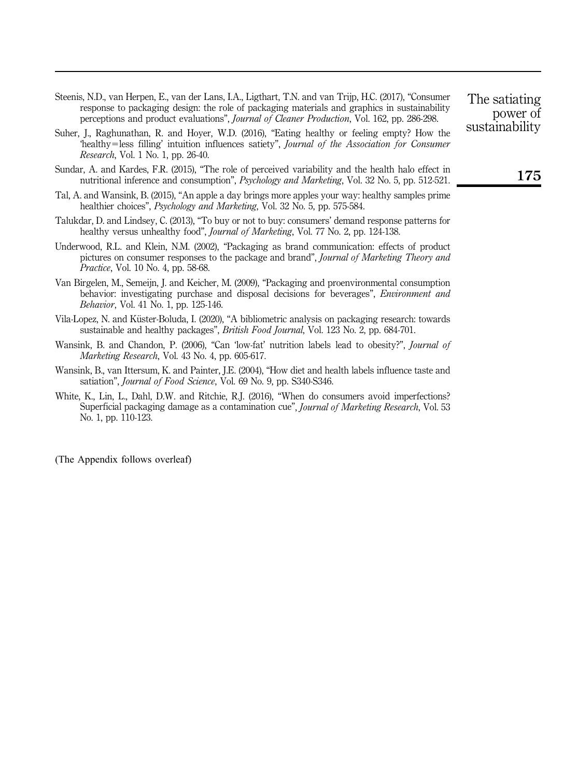- <span id="page-13-1"></span>Steenis, N.D., van Herpen, E., van der Lans, I.A., Ligthart, T.N. and van Trijp, H.C. (2017), "Consumer response to packaging design: the role of packaging materials and graphics in sustainability perceptions and product evaluations", Journal of Cleaner Production, Vol. 162, pp. 286-298.
- <span id="page-13-5"></span>Suher, J., Raghunathan, R. and Hoyer, W.D. (2016), "Eating healthy or feeling empty? How the 'healthy=less filling' intuition influences satiety", Journal of the Association for Consumer Research, Vol. 1 No. 1, pp. 26-40.
- <span id="page-13-9"></span>Sundar, A. and Kardes, F.R. (2015), "The role of perceived variability and the health halo effect in nutritional inference and consumption", Psychology and Marketing, Vol. 32 No. 5, pp. 512-521.
- <span id="page-13-4"></span>Tal, A. and Wansink, B. (2015), "An apple a day brings more apples your way: healthy samples prime healthier choices", Psychology and Marketing, Vol. 32 No. 5, pp. 575-584.
- <span id="page-13-3"></span>Talukdar, D. and Lindsey, C. (2013), "To buy or not to buy: consumers' demand response patterns for healthy versus unhealthy food", Journal of Marketing, Vol. 77 No. 2, pp. 124-138.
- <span id="page-13-7"></span>Underwood, R.L. and Klein, N.M. (2002), "Packaging as brand communication: effects of product pictures on consumer responses to the package and brand", Journal of Marketing Theory and Practice, Vol. 10 No. 4, pp. 58-68.
- <span id="page-13-8"></span>Van Birgelen, M., Semeijn, J. and Keicher, M. (2009), "Packaging and proenvironmental consumption behavior: investigating purchase and disposal decisions for beverages", *Environment and* Behavior, Vol. 41 No. 1, pp. 125-146.
- <span id="page-13-0"></span>Vila-Lopez, N. and Küster-Boluda, I. (2020), "A bibliometric analysis on packaging research: towards sustainable and healthy packages", British Food Journal, Vol. 123 No. 2, pp. 684-701.
- <span id="page-13-2"></span>Wansink, B. and Chandon, P. (2006), "Can 'low-fat' nutrition labels lead to obesity?", *Journal of* Marketing Research, Vol. 43 No. 4, pp. 605-617.
- <span id="page-13-6"></span>Wansink, B., van Ittersum, K. and Painter, J.E. (2004), "How diet and health labels influence taste and satiation", *Journal of Food Science*, Vol. 69 No. 9, pp. S340-S346.
- <span id="page-13-10"></span>White, K., Lin, L., Dahl, D.W. and Ritchie, R.J. (2016), "When do consumers avoid imperfections? Superficial packaging damage as a contamination cue", *Journal of Marketing Research*, Vol. 53 No. 1, pp. 110-123.

(The Appendix follows overleaf)

The satiating power of sustainability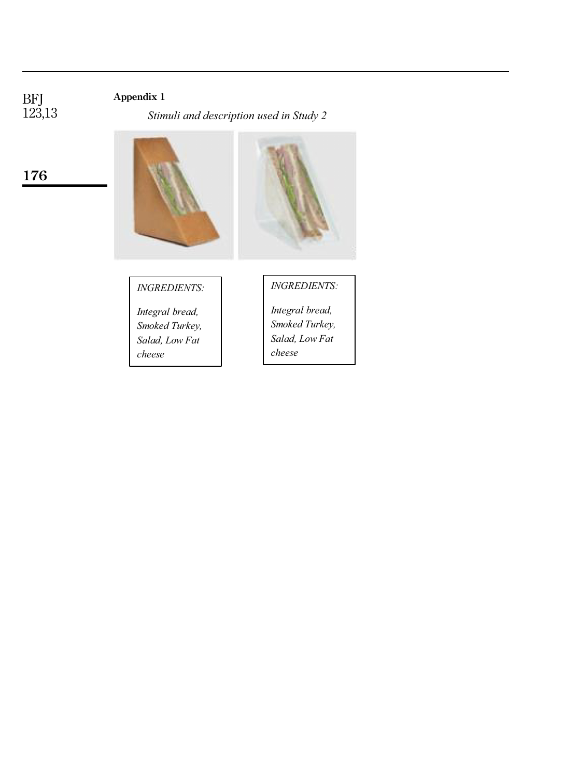# Appendix 1

*Stimuli and description used in Study 2*



# *INGREDIENTS:*

*Integral bread, Smoked Turkey, Salad, Low Fat cheese*

*INGREDIENTS:*

*Integral bread, Smoked Turkey, Salad, Low Fat cheese*

176

BFJ 123,13